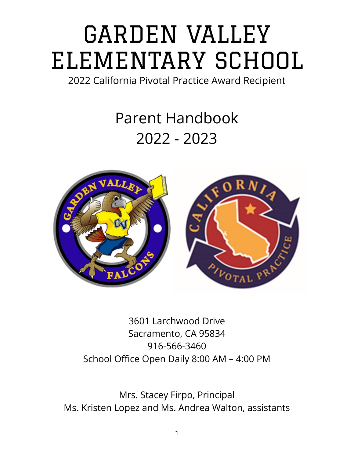# GARDEN VALLEY ELEMENTARY SCHOOL

2022 California Pivotal Practice Award Recipient

## Parent Handbook 2022 - 2023



3601 Larchwood Drive Sacramento, CA 95834 916-566-3460 School Office Open Daily 8:00 AM – 4:00 PM

Mrs. Stacey Firpo, Principal Ms. Kristen Lopez and Ms. Andrea Walton, assistants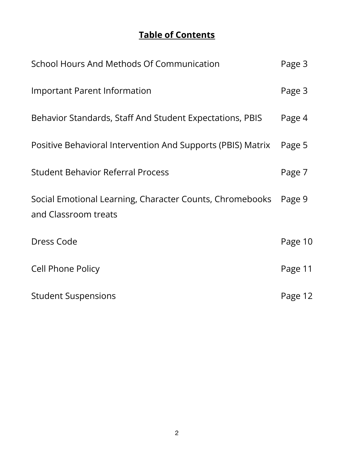## **Table of Contents**

| School Hours And Methods Of Communication                                        | Page 3  |
|----------------------------------------------------------------------------------|---------|
| <b>Important Parent Information</b>                                              | Page 3  |
| Behavior Standards, Staff And Student Expectations, PBIS                         | Page 4  |
| Positive Behavioral Intervention And Supports (PBIS) Matrix                      | Page 5  |
| <b>Student Behavior Referral Process</b>                                         | Page 7  |
| Social Emotional Learning, Character Counts, Chromebooks<br>and Classroom treats | Page 9  |
| Dress Code                                                                       | Page 10 |
| <b>Cell Phone Policy</b>                                                         | Page 11 |
| <b>Student Suspensions</b>                                                       | Page 12 |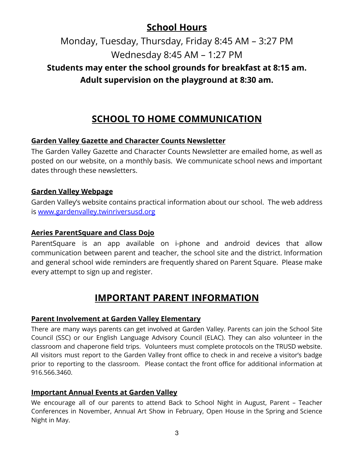## **School Hours**

Monday, Tuesday, Thursday, Friday 8:45 AM – 3:27 PM Wednesday 8:45 AM – 1:27 PM

## **Students may enter the school grounds for breakfast at 8:15 am. Adult supervision on the playground at 8:30 am.**

## **SCHOOL TO HOME COMMUNICATION**

#### **Garden Valley Gazette and Character Counts Newsletter**

The Garden Valley Gazette and Character Counts Newsletter are emailed home, as well as posted on our website, on a monthly basis. We communicate school news and important dates through these newsletters.

#### **Garden Valley Webpage**

Garden Valley's website contains practical information about our school. The web address is [www.gardenvalley.twinriversusd.org](http://www.gardenvalley.twinriversusd.org)

#### **Aeries ParentSquare and Class Dojo**

ParentSquare is an app available on i-phone and android devices that allow communication between parent and teacher, the school site and the district. Information and general school wide reminders are frequently shared on Parent Square. Please make every attempt to sign up and register.

## **IMPORTANT PARENT INFORMATION**

#### **Parent Involvement at Garden Valley Elementary**

There are many ways parents can get involved at Garden Valley. Parents can join the School Site Council (SSC) or our English Language Advisory Council (ELAC). They can also volunteer in the classroom and chaperone field trips. Volunteers must complete protocols on the TRUSD website. All visitors must report to the Garden Valley front office to check in and receive a visitor's badge prior to reporting to the classroom. Please contact the front office for additional information at 916.566.3460.

#### **Important Annual Events at Garden Valley**

We encourage all of our parents to attend Back to School Night in August, Parent – Teacher Conferences in November, Annual Art Show in February, Open House in the Spring and Science Night in May.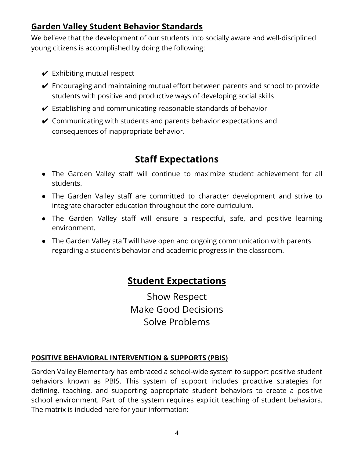## **Garden Valley Student Behavior Standards**

We believe that the development of our students into socially aware and well-disciplined young citizens is accomplished by doing the following:

- $\vee$  Exhibiting mutual respect
- $\vee$  Encouraging and maintaining mutual effort between parents and school to provide students with positive and productive ways of developing social skills
- $\vee$  Establishing and communicating reasonable standards of behavior
- $\vee$  Communicating with students and parents behavior expectations and consequences of inappropriate behavior.

## **Staff Expectations**

- The Garden Valley staff will continue to maximize student achievement for all students.
- The Garden Valley staff are committed to character development and strive to integrate character education throughout the core curriculum.
- The Garden Valley staff will ensure a respectful, safe, and positive learning environment.
- The Garden Valley staff will have open and ongoing communication with parents regarding a student's behavior and academic progress in the classroom.

## **Student Expectations**

Show Respect Make Good Decisions Solve Problems

#### **POSITIVE BEHAVIORAL INTERVENTION & SUPPORTS (PBIS)**

Garden Valley Elementary has embraced a school-wide system to support positive student behaviors known as PBIS. This system of support includes proactive strategies for defining, teaching, and supporting appropriate student behaviors to create a positive school environment. Part of the system requires explicit teaching of student behaviors. The matrix is included here for your information: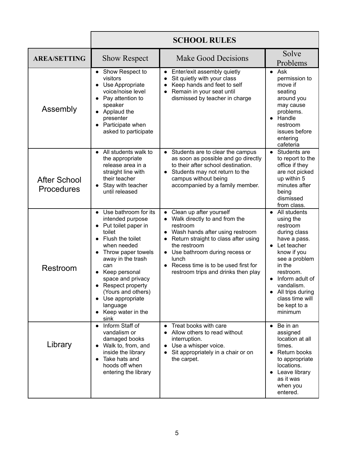|                                          | <b>SCHOOL RULES</b>                                                                                                                                                                                                                                                                                                     |                                                                                                                                                                                                                                                                                           |                                                                                                                                                                                                                                                                          |
|------------------------------------------|-------------------------------------------------------------------------------------------------------------------------------------------------------------------------------------------------------------------------------------------------------------------------------------------------------------------------|-------------------------------------------------------------------------------------------------------------------------------------------------------------------------------------------------------------------------------------------------------------------------------------------|--------------------------------------------------------------------------------------------------------------------------------------------------------------------------------------------------------------------------------------------------------------------------|
| <b>AREA/SETTING</b>                      | <b>Show Respect</b>                                                                                                                                                                                                                                                                                                     | <b>Make Good Decisions</b>                                                                                                                                                                                                                                                                | Solve<br>Problems                                                                                                                                                                                                                                                        |
| Assembly                                 | Show Respect to<br>visitors<br>Use Appropriate<br>$\bullet$<br>voice/noise level<br>Pay attention to<br>$\bullet$<br>speaker<br>Applaud the<br>presenter<br>Participate when<br>asked to participate                                                                                                                    | Enter/exit assembly quietly<br>Sit quietly with your class<br>$\bullet$<br>Keep hands and feet to self<br>$\bullet$<br>Remain in your seat until<br>dismissed by teacher in charge                                                                                                        | $\bullet$ Ask<br>permission to<br>move if<br>seating<br>around you<br>may cause<br>problems.<br>Handle<br>restroom<br>issues before<br>entering<br>cafeteria                                                                                                             |
| <b>After School</b><br><b>Procedures</b> | All students walk to<br>$\bullet$<br>the appropriate<br>release area in a<br>straight line with<br>their teacher<br>Stay with teacher<br>until released                                                                                                                                                                 | Students are to clear the campus<br>as soon as possible and go directly<br>to their after school destination.<br>Students may not return to the<br>campus without being<br>accompanied by a family member.                                                                                | Students are<br>$\bullet$<br>to report to the<br>office if they<br>are not picked<br>up within 5<br>minutes after<br>being<br>dismissed<br>from class.                                                                                                                   |
| Restroom                                 | Use bathroom for its<br>$\bullet$<br>intended purpose<br>Put toilet paper in<br>toilet<br>Flush the toilet<br>when needed<br>Throw paper towels<br>away in the trash<br>can<br>Keep personal<br>space and privacy<br>Respect property<br>(Yours and others)<br>Use appropriate<br>language<br>Keep water in the<br>sink | Clean up after yourself<br>Walk directly to and from the<br>restroom<br>Wash hands after using restroom<br>Return straight to class after using<br>the restroom<br>Use bathroom during recess or<br>lunch<br>• Recess time is to be used first for<br>restroom trips and drinks then play | All students<br>$\bullet$<br>using the<br>restroom<br>during class<br>have a pass.<br>Let teacher<br>$\bullet$<br>know if you<br>see a problem<br>in the<br>restroom.<br>Inform adult of<br>vandalism.<br>All trips during<br>class time will<br>be kept to a<br>minimum |
| Library                                  | Inform Staff of<br>$\bullet$<br>vandalism or<br>damaged books<br>Walk to, from, and<br>inside the library<br>Take hats and<br>hoods off when<br>entering the library                                                                                                                                                    | Treat books with care<br>Allow others to read without<br>interruption.<br>Use a whisper voice.<br>Sit appropriately in a chair or on<br>the carpet.                                                                                                                                       | Be in an<br>$\bullet$<br>assigned<br>location at all<br>times.<br>Return books<br>$\bullet$<br>to appropriate<br>locations.<br>Leave library<br>as it was<br>when you<br>entered.                                                                                        |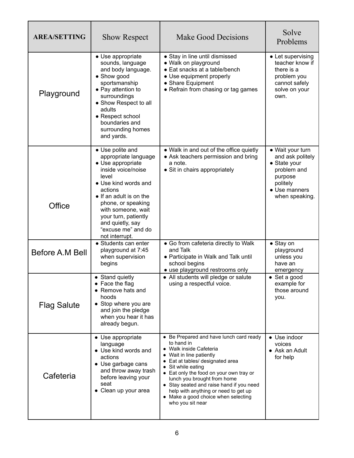| <b>AREA/SETTING</b> | <b>Show Respect</b>                                                                                                                                                                                                                                                                        | <b>Make Good Decisions</b>                                                                                                                                                                                                                                                                                                                                                                      | Solve<br>Problems                                                                                                             |
|---------------------|--------------------------------------------------------------------------------------------------------------------------------------------------------------------------------------------------------------------------------------------------------------------------------------------|-------------------------------------------------------------------------------------------------------------------------------------------------------------------------------------------------------------------------------------------------------------------------------------------------------------------------------------------------------------------------------------------------|-------------------------------------------------------------------------------------------------------------------------------|
| Playground          | • Use appropriate<br>sounds, language<br>and body language.<br>• Show good<br>sportsmanship<br>• Pay attention to<br>surroundings<br>• Show Respect to all<br>adults<br>• Respect school<br>boundaries and<br>surrounding homes<br>and yards.                                              | • Stay in line until dismissed<br>· Walk on playground<br>• Eat snacks at a table/bench<br>• Use equipment properly<br>• Share Equipment<br>• Refrain from chasing or tag games                                                                                                                                                                                                                 | • Let supervising<br>teacher know if<br>there is a<br>problem you<br>cannot safely<br>solve on your<br>own.                   |
| Office              | • Use polite and<br>appropriate language<br>• Use appropriate<br>inside voice/noise<br>level<br>• Use kind words and<br>actions<br>• If an adult is on the<br>phone, or speaking<br>with someone, wait<br>your turn, patiently<br>and quietly, say<br>"excuse me" and do<br>not interrupt. | • Walk in and out of the office quietly<br>• Ask teachers permission and bring<br>a note.<br>• Sit in chairs appropriately                                                                                                                                                                                                                                                                      | • Wait your turn<br>and ask politely<br>• State your<br>problem and<br>purpose<br>politely<br>• Use manners<br>when speaking. |
| Before A.M Bell     | • Students can enter<br>playground at 7:45<br>when supervision<br>begins                                                                                                                                                                                                                   | • Go from cafeteria directly to Walk<br>and Talk<br>• Participate in Walk and Talk until<br>school begins<br>• use playground restrooms only                                                                                                                                                                                                                                                    | • Stay on<br>playground<br>unless you<br>have an<br>emergency                                                                 |
| <b>Flag Salute</b>  | • Stand quietly<br>• Face the flag<br>• Remove hats and<br>hoods<br>• Stop where you are<br>and join the pledge<br>when you hear it has<br>already begun.                                                                                                                                  | • All students will pledge or salute<br>using a respectful voice.                                                                                                                                                                                                                                                                                                                               | • Set a good<br>example for<br>those around<br>you.                                                                           |
| Cafeteria           | • Use appropriate<br>language<br>• Use kind words and<br>actions<br>• Use garbage cans<br>and throw away trash<br>before leaving your<br>seat<br>• Clean up your area                                                                                                                      | • Be Prepared and have lunch card ready<br>to hand in<br>• Walk inside Cafeteria<br>• Wait in line patiently<br>• Eat at tables/ designated area<br>• Sit while eating<br>• Eat only the food on your own tray or<br>lunch you brought from home<br>• Stay seated and raise hand if you need<br>help with anything or need to get up<br>• Make a good choice when selecting<br>who you sit near | • Use indoor<br>voices<br>• Ask an Adult<br>for help                                                                          |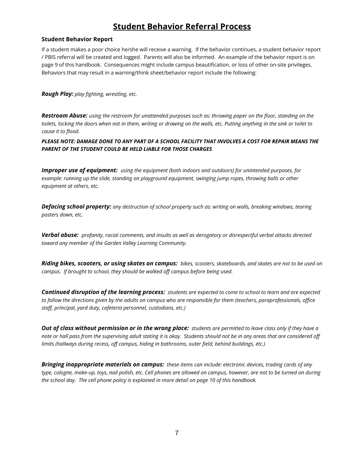### **Student Behavior Referral Process**

#### **Student Behavior Report**

If a student makes a poor choice he/she will receive a warning. If the behavior continues, a student behavior report / PBIS referral will be created and logged. Parents will also be informed. An example of the behavior report is on page 9 of this handbook. Consequences might include campus beautification, or loss of other on-site privileges. Behaviors that may result in a warning/think sheet/behavior report include the following:

*Rough Play: play fighting, wrestling, etc.*

*Restroom Abuse: using the restroom for unattended purposes such as: throwing paper on the floor, standing on the toilets, locking the doors when not in them, writing or drawing on the walls, etc. Putting anything in the sink or toilet to cause it to flood.*

*PLEASE NOTE: DAMAGE DONE TO ANY PART OF A SCHOOL FACILITY THAT INVOLVES A COST FOR REPAIR MEANS THE PARENT OF THE STUDENT COULD BE HELD LIABLE FOR THOSE CHARGES*

*Improper use of equipment: using the equipment (both indoors and outdoors) for unintended purposes, for example: running up the slide, standing on playground equipment, swinging jump ropes, throwing balls or other equipment at others, etc.*

*Defacing school property: any destruction of school property such as: writing on walls, breaking windows, tearing posters down, etc.*

*Verbal abuse: profanity, racial comments, and insults as well as derogatory or disrespectful verbal attacks directed toward any member of the Garden Valley Learning Community.*

*Riding bikes, scooters, or using skates on campus: bikes, scooters, skateboards, and skates are not to be used on campus. If brought to school, they should be walked off campus before being used.*

*Continued disruption of the learning process: students are expected to come to school to learn and are expected to follow the directions given by the adults on campus who are responsible for them (teachers, paraprofessionals, office staff, principal, yard duty, cafeteria personnel, custodians, etc.)*

*Out of class without permission or in the wrong place: students are permitted to leave class only if they have a note or hall pass from the supervising adult stating it is okay. Students should not be in any areas that are considered off limits (hallways during recess, off campus, hiding in bathrooms, outer field, behind buildings, etc.)*

*Bringing inappropriate materials on campus: these items can include: electronic devices, trading cards of any type, cologne, make-up, toys, nail polish, etc. Cell phones are allowed on campus, however, are not to be turned on during the school day. The cell phone policy is explained in more detail on page 10 of this handbook.*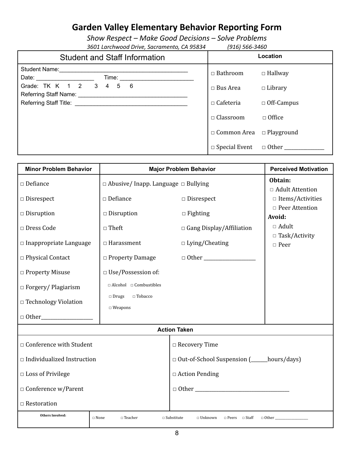## **Garden Valley Elementary Behavior Reporting Form**

*Show Respect – Make Good Decisions – Solve Problems 3601 Larchwood Drive, Sacramento, CA 95834 (916) 566-3460*

| <b>Student and Staff Information</b> | Location                             |                   |
|--------------------------------------|--------------------------------------|-------------------|
| Student Name:<br>Time:               | $\Box$ Bathroom                      | $\Box$ Hallway    |
| Grade: TK K 1 2 3 4 5 6              | $\Box$ Bus Area                      | $\Box$ Library    |
|                                      | $\Box$ Cafeteria                     | $\Box$ Off-Campus |
|                                      | $\Box$ Classroom                     | $\Box$ Office     |
|                                      | $\Box$ Common Area $\Box$ Playground |                   |
|                                      |                                      |                   |

| <b>Minor Problem Behavior</b>                                                                                                         | <b>Major Problem Behavior</b>                                           |                                               | <b>Perceived Motivation</b>          |
|---------------------------------------------------------------------------------------------------------------------------------------|-------------------------------------------------------------------------|-----------------------------------------------|--------------------------------------|
| $\Box$ Defiance                                                                                                                       | $\Box$ Abusive/Inapp. Language $\Box$ Bullying                          |                                               | Obtain:<br>□ Adult Attention         |
| $\square$ Disrespect                                                                                                                  | $\square$ Defiance                                                      | $\square$ Disrespect                          | $\Box$ Items/Activities              |
| $\square$ Disruption                                                                                                                  | $\Box$ Disruption                                                       | $\Box$ Fighting                               | □ Peer Attention<br>Avoid:           |
| □ Dress Code                                                                                                                          | $\Box$ Theft                                                            | □ Gang Display/Affiliation                    | $\Box$ Adult<br>$\Box$ Task/Activity |
| $\square$ Inappropriate Language                                                                                                      | $\Box$ Harassment                                                       | $\Box$ Lying/Cheating                         | $\Box$ Peer                          |
| □ Physical Contact                                                                                                                    | $\Box$ Property Damage                                                  |                                               |                                      |
| □ Property Misuse                                                                                                                     | □ Use/Possession of:                                                    |                                               |                                      |
| $\Box$ Forgery/ Plagiarism                                                                                                            | $\Box$ Alcohol $\Box$ Combustibles<br>$\square$ Tobacco<br>$\Box$ Drugs |                                               |                                      |
| □ Technology Violation                                                                                                                | $\square$ Weapons                                                       |                                               |                                      |
|                                                                                                                                       |                                                                         | <b>Action Taken</b>                           |                                      |
|                                                                                                                                       |                                                                         |                                               |                                      |
| □ Conference with Student                                                                                                             |                                                                         | $\Box$ Recovery Time                          |                                      |
| $\Box$ Individualized Instruction                                                                                                     |                                                                         | □ Out-of-School Suspension (______hours/days) |                                      |
| $\Box$ Loss of Privilege                                                                                                              |                                                                         | $\Box$ Action Pending                         |                                      |
| $\Box$ Conference w/Parent                                                                                                            |                                                                         |                                               |                                      |
| $\Box$ Restoration                                                                                                                    |                                                                         |                                               |                                      |
| <b>Others Involved:</b><br>□ Peers □ Staff<br>$\Box$ None<br>$\Box$ Teacher<br>$\square$ Substitute<br>$\Box$ Unknown<br>$\Box$ Other |                                                                         |                                               |                                      |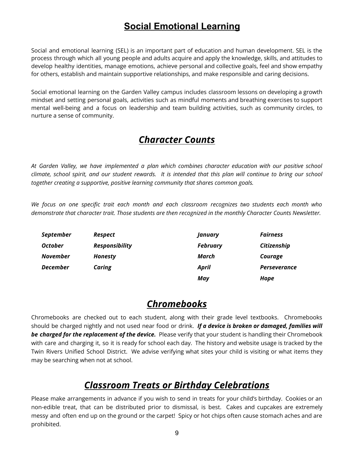## **Social Emotional Learning**

Social and emotional learning (SEL) is an important part of education and human development. SEL is the process through which all young people and adults acquire and apply the knowledge, skills, and attitudes to develop healthy identities, manage emotions, achieve personal and collective goals, feel and show empathy for others, establish and maintain supportive relationships, and make responsible and caring decisions.

Social emotional learning on the Garden Valley campus includes classroom lessons on developing a growth mindset and setting personal goals, activities such as mindful moments and breathing exercises to support mental well-being and a focus on leadership and team building activities, such as community circles, to nurture a sense of community.

## *Character Counts*

*At Garden Valley, we have implemented a plan which combines character education with our positive school* climate, school spirit, and our student rewards. It is intended that this plan will continue to bring our school *together creating a supportive, positive learning community that shares common goals.*

*We focus on one specific trait each month and each classroom recognizes two students each month who demonstrate that character trait. Those students are then recognized in the monthly Character Counts Newsletter.*

| <b>September</b> | Respect               | <b>January</b>  | <b>Fairness</b>     |
|------------------|-----------------------|-----------------|---------------------|
| <b>October</b>   | <b>Responsibility</b> | <b>February</b> | Citizenship         |
| <b>November</b>  | <b>Honesty</b>        | March           | Courage             |
| <b>December</b>  | Caring                | April           | <b>Perseverance</b> |
|                  |                       | May             | Hope                |

## *Chromebooks*

Chromebooks are checked out to each student, along with their grade level textbooks. Chromebooks should be charged nightly and not used near food or drink. *If a device is broken or damaged, families will be charged for the replacement of the device.* Please verify that your student is handling their Chromebook with care and charging it, so it is ready for school each day. The history and website usage is tracked by the Twin Rivers Unified School District. We advise verifying what sites your child is visiting or what items they may be searching when not at school.

## *Classroom Treats or Birthday Celebrations*

Please make arrangements in advance if you wish to send in treats for your child's birthday. Cookies or an non-edible treat, that can be distributed prior to dismissal, is best. Cakes and cupcakes are extremely messy and often end up on the ground or the carpet! Spicy or hot chips often cause stomach aches and are prohibited.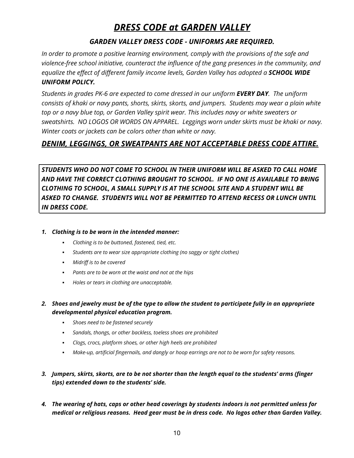## *DRESS CODE at GARDEN VALLEY*

#### *GARDEN VALLEY DRESS CODE - UNIFORMS ARE REQUIRED.*

*In order to promote a positive learning environment, comply with the provisions of the safe and violence-free school initiative, counteract the influence of the gang presences in the community, and equalize the effect of different family income levels, Garden Valley has adopted a SCHOOL WIDE UNIFORM POLICY.*

*Students in grades PK-6 are expected to come dressed in our uniform EVERY DAY. The uniform consists of khaki or navy pants, shorts, skirts, skorts, and jumpers. Students may wear a plain white top or a navy blue top, or Garden Valley spirit wear. This includes navy or white sweaters or sweatshirts. NO LOGOS OR WORDS ON APPAREL. Leggings worn under skirts must be khaki or navy. Winter coats or jackets can be colors other than white or navy.*

#### *DENIM, LEGGINGS, OR SWEATPANTS ARE NOT ACCEPTABLE DRESS CODE ATTIRE.*

*STUDENTS WHO DO NOT COME TO SCHOOL IN THEIR UNIFORM WILL BE ASKED TO CALL HOME AND HAVE THE CORRECT CLOTHING BROUGHT TO SCHOOL. IF NO ONE IS AVAILABLE TO BRING CLOTHING TO SCHOOL, A SMALL SUPPLY IS AT THE SCHOOL SITE AND A STUDENT WILL BE ASKED TO CHANGE. STUDENTS WILL NOT BE PERMITTED TO ATTEND RECESS OR LUNCH UNTIL IN DRESS CODE.*

#### *1. Clothing is to be worn in the intended manner:*

- *▪ Clothing is to be buttoned, fastened, tied, etc.*
- *▪ Students are to wear size appropriate clothing (no saggy or tight clothes)*
- *▪ Midriff is to be covered*
- *▪ Pants are to be worn at the waist and not at the hips*
- *▪ Holes or tears in clothing are unacceptable.*
- 2. Shoes and jewelry must be of the type to allow the student to participate fully in an appropriate *developmental physical education program.*
	- *▪ Shoes need to be fastened securely*
	- *▪ Sandals, thongs, or other backless, toeless shoes are prohibited*
	- *▪ Clogs, crocs, platform shoes, or other high heels are prohibited*
	- *▪ Make-up, artificial fingernails, and dangly or hoop earrings are not to be worn for safety reasons.*
- 3. Jumpers, skirts, skorts, are to be not shorter than the length equal to the students' arms (finger *tips) extended down to the students' side.*
- 4. The wearing of hats, caps or other head coverings by students indoors is not permitted unless for *medical or religious reasons. Head gear must be in dress code. No logos other than Garden Valley.*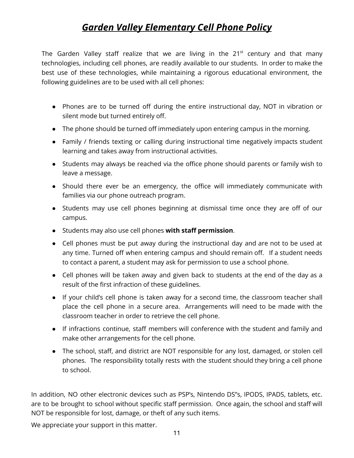## *Garden Valley Elementary Cell Phone Policy*

The Garden Valley staff realize that we are living in the  $21<sup>st</sup>$  century and that many technologies, including cell phones, are readily available to our students. In order to make the best use of these technologies, while maintaining a rigorous educational environment, the following guidelines are to be used with all cell phones:

- Phones are to be turned off during the entire instructional day, NOT in vibration or silent mode but turned entirely off.
- The phone should be turned off immediately upon entering campus in the morning.
- Family / friends texting or calling during instructional time negatively impacts student learning and takes away from instructional activities.
- Students may always be reached via the office phone should parents or family wish to leave a message.
- Should there ever be an emergency, the office will immediately communicate with families via our phone outreach program.
- Students may use cell phones beginning at dismissal time once they are off of our campus.
- Students may also use cell phones **with staff permission**.
- Cell phones must be put away during the instructional day and are not to be used at any time. Turned off when entering campus and should remain off. If a student needs to contact a parent, a student may ask for permission to use a school phone.
- Cell phones will be taken away and given back to students at the end of the day as a result of the first infraction of these guidelines.
- If your child's cell phone is taken away for a second time, the classroom teacher shall place the cell phone in a secure area. Arrangements will need to be made with the classroom teacher in order to retrieve the cell phone.
- If infractions continue, staff members will conference with the student and family and make other arrangements for the cell phone.
- The school, staff, and district are NOT responsible for any lost, damaged, or stolen cell phones. The responsibility totally rests with the student should they bring a cell phone to school.

In addition, NO other electronic devices such as PSP's, Nintendo DS"s, IPODS, IPADS, tablets, etc. are to be brought to school without specific staff permission. Once again, the school and staff will NOT be responsible for lost, damage, or theft of any such items.

We appreciate your support in this matter.